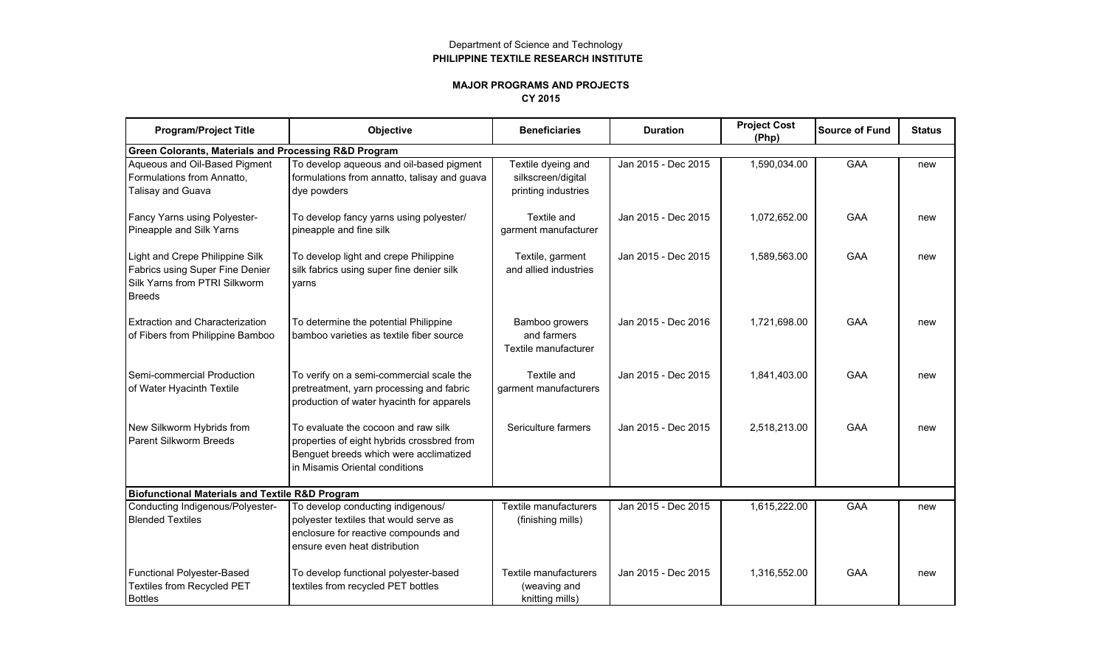## Department of Science and Technology **PHILIPPINE TEXTILE RESEARCH INSTITUTE**

## **MAJOR PROGRAMS AND PROJECTS CY 2015**

| <b>Program/Project Title</b>                                                                                         | Objective                                                                                                                                                     | <b>Beneficiaries</b>                                            | <b>Duration</b>     | <b>Project Cost</b><br>(Php) | <b>Source of Fund</b> | <b>Status</b> |  |  |  |
|----------------------------------------------------------------------------------------------------------------------|---------------------------------------------------------------------------------------------------------------------------------------------------------------|-----------------------------------------------------------------|---------------------|------------------------------|-----------------------|---------------|--|--|--|
| Green Colorants, Materials and Processing R&D Program                                                                |                                                                                                                                                               |                                                                 |                     |                              |                       |               |  |  |  |
| Aqueous and Oil-Based Pigment<br>Formulations from Annatto,<br>Talisay and Guava                                     | To develop aqueous and oil-based pigment<br>formulations from annatto, talisay and guava<br>dye powders                                                       | Textile dyeing and<br>silkscreen/digital<br>printing industries | Jan 2015 - Dec 2015 | 1,590,034.00                 | GAA                   | new           |  |  |  |
| Fancy Yarns using Polyester-<br>Pineapple and Silk Yarns                                                             | To develop fancy yarns using polyester/<br>pineapple and fine silk                                                                                            | Textile and<br>garment manufacturer                             | Jan 2015 - Dec 2015 | 1,072,652.00                 | GAA                   | new           |  |  |  |
| Light and Crepe Philippine Silk<br>Fabrics using Super Fine Denier<br>Silk Yarns from PTRI Silkworm<br><b>Breeds</b> | To develop light and crepe Philippine<br>silk fabrics using super fine denier silk<br>yarns                                                                   | Textile, garment<br>and allied industries                       | Jan 2015 - Dec 2015 | 1,589,563.00                 | <b>GAA</b>            | new           |  |  |  |
| Extraction and Characterization<br>of Fibers from Philippine Bamboo                                                  | To determine the potential Philippine<br>bamboo varieties as textile fiber source                                                                             | Bamboo growers<br>and farmers<br>Textile manufacturer           | Jan 2015 - Dec 2016 | 1.721.698.00                 | <b>GAA</b>            | new           |  |  |  |
| Semi-commercial Production<br>of Water Hyacinth Textile                                                              | To verify on a semi-commercial scale the<br>pretreatment, yarn processing and fabric<br>production of water hyacinth for apparels                             | Textile and<br>garment manufacturers                            | Jan 2015 - Dec 2015 | 1,841,403.00                 | <b>GAA</b>            | new           |  |  |  |
| New Silkworm Hybrids from<br>Parent Silkworm Breeds                                                                  | To evaluate the cocoon and raw silk<br>properties of eight hybrids crossbred from<br>Benguet breeds which were acclimatized<br>in Misamis Oriental conditions | Sericulture farmers                                             | Jan 2015 - Dec 2015 | 2,518,213.00                 | <b>GAA</b>            | new           |  |  |  |
| <b>Biofunctional Materials and Textile R&amp;D Program</b>                                                           |                                                                                                                                                               |                                                                 |                     |                              |                       |               |  |  |  |
| Conducting Indigenous/Polyester-<br><b>Blended Textiles</b>                                                          | To develop conducting indigenous/<br>polyester textiles that would serve as<br>enclosure for reactive compounds and<br>ensure even heat distribution          | Textile manufacturers<br>(finishing mills)                      | Jan 2015 - Dec 2015 | 1,615,222.00                 | GAA                   | new           |  |  |  |
| Functional Polyester-Based<br>Textiles from Recycled PET<br><b>Bottles</b>                                           | To develop functional polyester-based<br>textiles from recycled PET bottles                                                                                   | Textile manufacturers<br>(weaving and<br>knitting mills)        | Jan 2015 - Dec 2015 | 1,316,552.00                 | <b>GAA</b>            | new           |  |  |  |